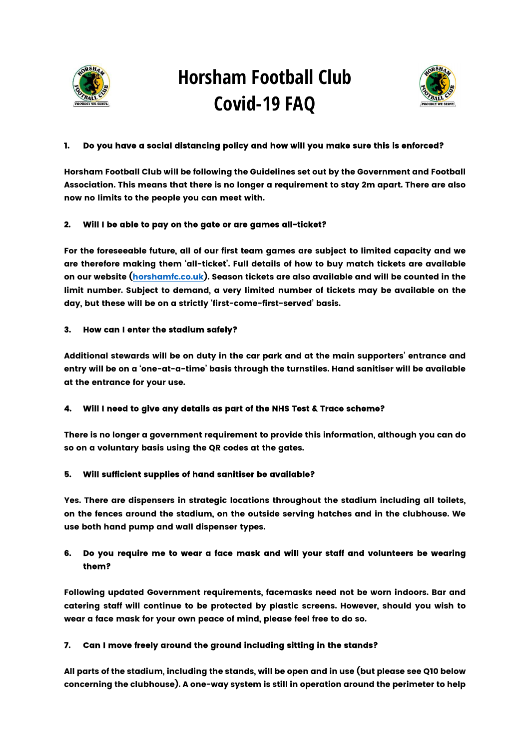

# Horsham Football Club Covid-19 FAQ



### 1. Do you have a social distancing policy and how will you make sure this is enforced?

Horsham Football Club will be following the Guidelines set out by the Government and Football Association. This means that there is no longer a requirement to stay 2m apart. There are also now no limits to the people you can meet with.

#### 2. Will I be able to pay on the gate or are games all-ticket?

For the foreseeable future, all of our first team games are subject to limited capacity and we are therefore making them 'all-ticket'. Full details of how to buy match tickets are available on our website (horshamfc.co.uk). Season tickets are also available and will be counted in the limit number. Subject to demand, a very limited number of tickets may be available on the day, but these will be on a strictly 'first-come-first-served' basis.

#### 3. How can I enter the stadium safely?

Additional stewards will be on duty in the car park and at the main supporters' entrance and entry will be on a 'one-at-a-time' basis through the turnstiles. Hand sanitiser will be available at the entrance for your use.

## Will I need to give any details as part of the NHS Test & Trace scheme?

There is no longer a government requirement to provide this information, although you can do so on a voluntary basis using the QR codes at the gates.

## 5. Will sufficient supplies of hand sanitiser be available?

Yes. There are dispensers in strategic locations throughout the stadium including all toilets, on the fences around the stadium, on the outside serving hatches and in the clubhouse. We use both hand pump and wall dispenser types.

## 6. Do you require me to wear a face mask and will your staff and volunteers be wearing them?

Following updated Government requirements, facemasks need not be worn indoors. Bar and catering staff will continue to be protected by plastic screens. However, should you wish to wear a face mask for your own peace of mind, please feel free to do so.

## 7. Can I move freely around the ground including sitting in the stands?

All parts of the stadium, including the stands, will be open and in use (but please see Q10 below concerning the clubhouse). A one-way system is still in operation around the perimeter to help